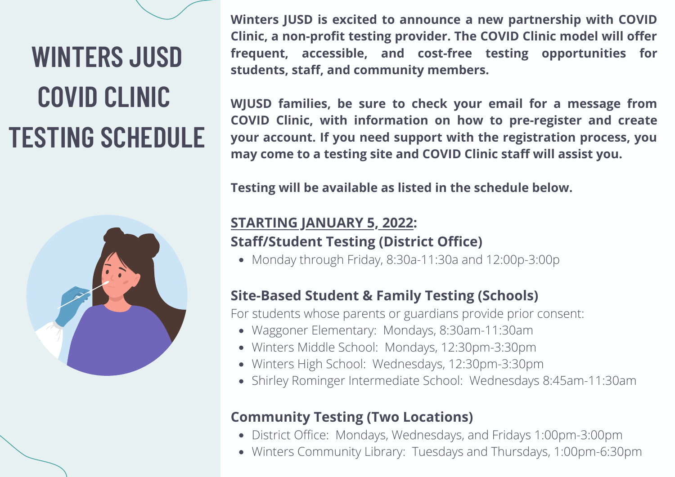### **WINTERS JUSD COVID CLINIC TESTING SCHEDULE**



**Winters JUSD is excited to announce a new partnership with COVID Clinic, a non-profit testing provider. The COVID Clinic model will offer frequent, accessible, and cost-free testing opportunities for students, staff, and community members.**

**WJUSD families, be sure to check your email for a message from COVID Clinic, with information on how to pre-register and create your account. If you need support with the registration process, you may come to a testing site and COVID Clinic staff will assist you.**

**Testing will be available as listed in the schedule below.**

### **STARTING JANUARY 5, 2022: Staff/Student Testing (District Office)**

Monday through Friday, 8:30a-11:30a and 12:00p-3:00p

### **Site-Based Student & Family Testing (Schools)**

For students whose parents or guardians provide prior consent:

- Waggoner Elementary: Mondays, 8:30am-11:30am
- Winters Middle School: Mondays, 12:30pm-3:30pm
- Winters High School: Wednesdays, 12:30pm-3:30pm
- Shirley Rominger Intermediate School: Wednesdays 8:45am-11:30am

### **Community Testing (Two Locations)**

- District Office: Mondays, Wednesdays, and Fridays 1:00pm-3:00pm
- Winters Community Library: Tuesdays and Thursdays, 1:00pm-6:30pm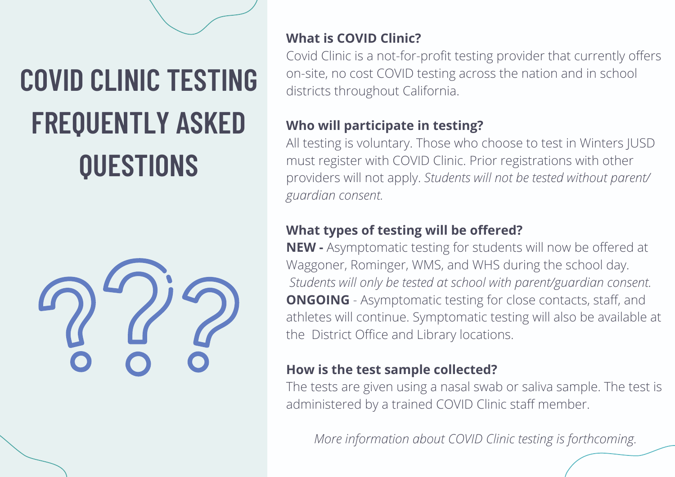### **COVID CLINIC TESTING FREQUENTLY ASKED QUESTIONS**



### **What is COVID Clinic?**

Covid Clinic is a not-for-profit testing provider that currently offers on-site, no cost COVID testing across the nation and in school districts throughout California.

### **Who will participate in testing?**

All testing is voluntary. Those who choose to test in Winters JUSD must register with COVID Clinic. Prior registrations with other providers will not apply. *Students will not be tested without parent/ guardian consent.*

### **What types of testing will be offered?**

**NEW -** Asymptomatic testing for students will now be offered at Waggoner, Rominger, WMS, and WHS during the school day. *Students will only be tested at school with parent/guardian consent.* **ONGOING** - Asymptomatic testing for close contacts, staff, and athletes will continue. Symptomatic testing will also be available at the District Office and Library locations.

### **How is the test sample collected?**

The tests are given using a nasal swab or saliva sample. The test is administered by a trained COVID Clinic staff member.

*More information about COVID Clinic testing is forthcoming.*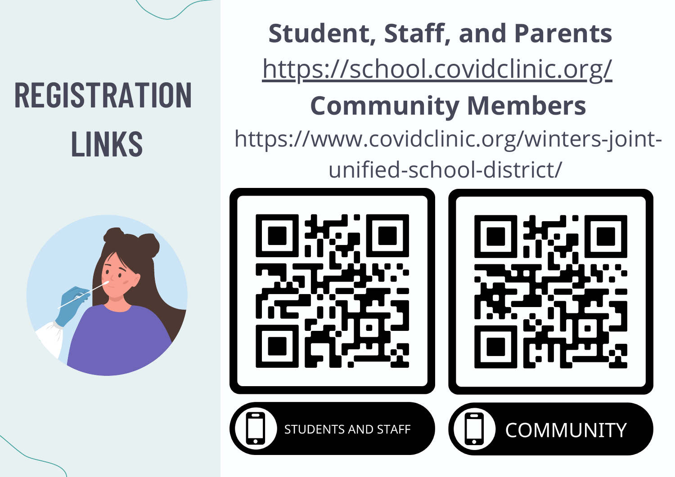# **REGISTRATION LINKS**



**Student, Staff, and Parents** <https://school.covidclinic.org/> **Community Members** [https://www.covidclinic.org/winters-joint](https://www.covidclinic.org/winters-joint-unified-school-district/)unified-school-district/

**STUDENTS AND STAFF** 

**COMMUNITY**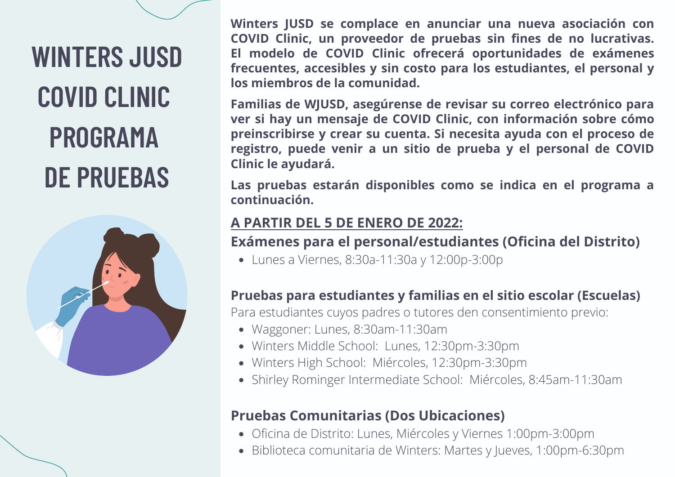### **WINTERS JUSD COVID CLINIC PROGRAMA DE PRUEBAS**



**Winters JUSD se complace en anunciar una nueva asociación con COVID Clinic, un proveedor de pruebas sin fines de no lucrativas. El modelo de COVID Clinic ofrecerá oportunidades de exámenes frecuentes, accesibles y sin costo para los estudiantes, el personal y los miembros de la comunidad.**

**Familias de WJUSD, asegúrense de revisar su correo electrónico para ver si hay un mensaje de COVID Clinic, con información sobre cómo preinscribirse y crear su cuenta. Si necesita ayuda con el proceso de registro, puede venir a un sitio de prueba y el personal de COVID Clinic le ayudará.**

**Las pruebas estarán disponibles como se indica en el programa a continuación.**

### **A PARTIR DEL 5 DE ENERO DE 2022:**

### **Exámenes para el personal/estudiantes (Oficina del Distrito)**

Lunes a Viernes, 8:30a-11:30a y 12:00p-3:00p

### **Pruebas para estudiantes y familias en el sitio escolar (Escuelas)**

Para estudiantes cuyos padres o tutores den consentimiento previo:

- Waggoner: Lunes, 8:30am-11:30am
- Winters Middle School: Lunes, 12:30pm-3:30pm
- Winters High School: Miércoles, 12:30pm-3:30pm
- Shirley Rominger Intermediate School: Miércoles, 8:45am-11:30am

### **Pruebas Comunitarias (Dos Ubicaciones)**

- Oficina de Distrito: Lunes, Miércoles y Viernes 1:00pm-3:00pm
- Biblioteca comunitaria de Winters: Martes y Jueves, 1:00pm-6:30pm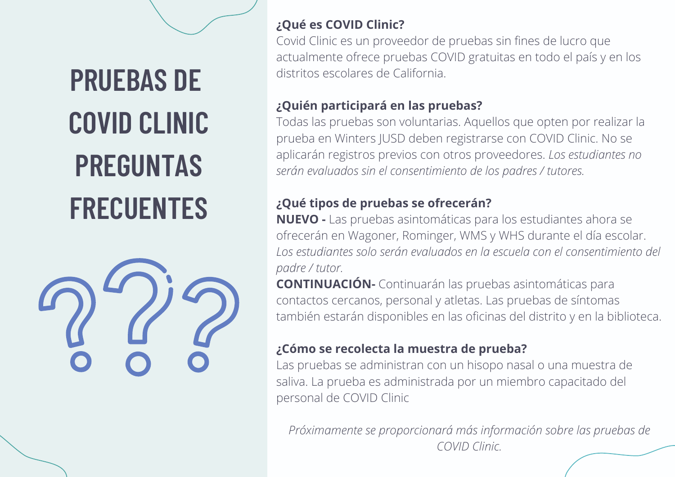**PRUEBAS DE COVID CLINIC PREGUNTAS FRECUENTES**



#### **¿Qué es COVID Clinic?**

Covid Clinic es un proveedor de pruebas sin fines de lucro que actualmente ofrece pruebas COVID gratuitas en todo el país y en los distritos escolares de California.

### **¿Quién participará en las pruebas?**

Todas las pruebas son voluntarias. Aquellos que opten por realizar la prueba en Winters JUSD deben registrarse con COVID Clinic. No se aplicarán registros previos con otros proveedores. *Los estudiantes no serán evaluados sin el consentimiento de los padres / tutores.*

### **¿Qué tipos de pruebas se ofrecerán?**

**NUEVO -** Las pruebas asintomáticas para los estudiantes ahora se ofrecerán en Wagoner, Rominger, WMS y WHS durante el día escolar. *Los estudiantes solo serán evaluados en la escuela con el consentimiento del padre / tutor.*

**CONTINUACIÓN-** Continuarán las pruebas asintomáticas para contactos cercanos, personal y atletas. Las pruebas de síntomas también estarán disponibles en las oficinas del distrito y en la biblioteca.

### **¿Cómo se recolecta la muestra de prueba?**

Las pruebas se administran con un hisopo nasal o una muestra de saliva. La prueba es administrada por un miembro capacitado del personal de COVID Clinic

*Próximamente se proporcionará más información sobre las pruebas de COVID Clinic.*